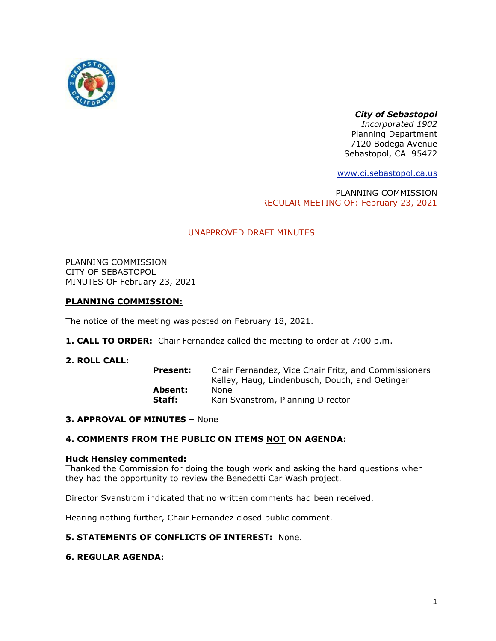

# *City of Sebastopol*

*Incorporated 1902* Planning Department 7120 Bodega Avenue Sebastopol, CA 95472

[www.ci.sebastopol.ca.us](http://www.ci.sebastopol.ca.us/)

PLANNING COMMISSION REGULAR MEETING OF: February 23, 2021

# UNAPPROVED DRAFT MINUTES

PLANNING COMMISSION CITY OF SEBASTOPOL MINUTES OF February 23, 2021

## **PLANNING COMMISSION:**

The notice of the meeting was posted on February 18, 2021.

**1. CALL TO ORDER:** Chair Fernandez called the meeting to order at 7:00 p.m.

## **2. ROLL CALL:**

| Present: | Chair Fernandez, Vice Chair Fritz, and Commissioners |
|----------|------------------------------------------------------|
|          | Kelley, Haug, Lindenbusch, Douch, and Oetinger       |
| Absent:  | None                                                 |
| Staff:   | Kari Svanstrom, Planning Director                    |

## **3. APPROVAL OF MINUTES –** None

## **4. COMMENTS FROM THE PUBLIC ON ITEMS NOT ON AGENDA:**

## **Huck Hensley commented:**

Thanked the Commission for doing the tough work and asking the hard questions when they had the opportunity to review the Benedetti Car Wash project.

Director Svanstrom indicated that no written comments had been received.

Hearing nothing further, Chair Fernandez closed public comment.

## **5. STATEMENTS OF CONFLICTS OF INTEREST:** None.

# **6. REGULAR AGENDA:**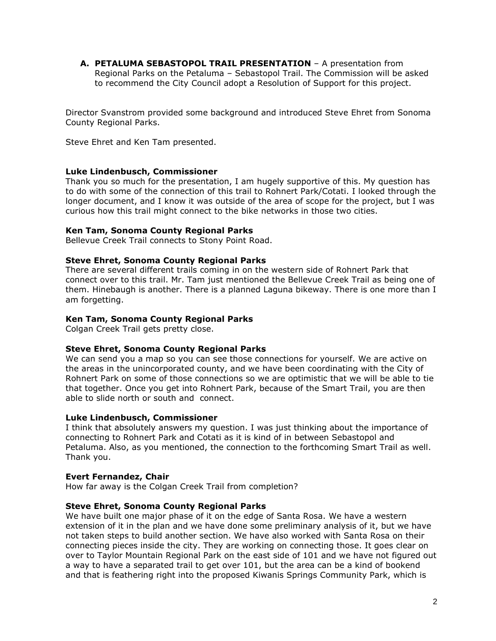**A. PETALUMA SEBASTOPOL TRAIL PRESENTATION** – A presentation from Regional Parks on the Petaluma – Sebastopol Trail. The Commission will be asked to recommend the City Council adopt a Resolution of Support for this project.

Director Svanstrom provided some background and introduced Steve Ehret from Sonoma County Regional Parks.

Steve Ehret and Ken Tam presented.

### **Luke Lindenbusch, Commissioner**

Thank you so much for the presentation, I am hugely supportive of this. My question has to do with some of the connection of this trail to Rohnert Park/Cotati. I looked through the longer document, and I know it was outside of the area of scope for the project, but I was curious how this trail might connect to the bike networks in those two cities.

### **Ken Tam, Sonoma County Regional Parks**

Bellevue Creek Trail connects to Stony Point Road.

### **Steve Ehret, Sonoma County Regional Parks**

There are several different trails coming in on the western side of Rohnert Park that connect over to this trail. Mr. Tam just mentioned the Bellevue Creek Trail as being one of them. Hinebaugh is another. There is a planned Laguna bikeway. There is one more than I am forgetting.

### **Ken Tam, Sonoma County Regional Parks**

Colgan Creek Trail gets pretty close.

#### **Steve Ehret, Sonoma County Regional Parks**

We can send you a map so you can see those connections for yourself. We are active on the areas in the unincorporated county, and we have been coordinating with the City of Rohnert Park on some of those connections so we are optimistic that we will be able to tie that together. Once you get into Rohnert Park, because of the Smart Trail, you are then able to slide north or south and connect.

#### **Luke Lindenbusch, Commissioner**

I think that absolutely answers my question. I was just thinking about the importance of connecting to Rohnert Park and Cotati as it is kind of in between Sebastopol and Petaluma. Also, as you mentioned, the connection to the forthcoming Smart Trail as well. Thank you.

#### **Evert Fernandez, Chair**

How far away is the Colgan Creek Trail from completion?

#### **Steve Ehret, Sonoma County Regional Parks**

We have built one major phase of it on the edge of Santa Rosa. We have a western extension of it in the plan and we have done some preliminary analysis of it, but we have not taken steps to build another section. We have also worked with Santa Rosa on their connecting pieces inside the city. They are working on connecting those. It goes clear on over to Taylor Mountain Regional Park on the east side of 101 and we have not figured out a way to have a separated trail to get over 101, but the area can be a kind of bookend and that is feathering right into the proposed Kiwanis Springs Community Park, which is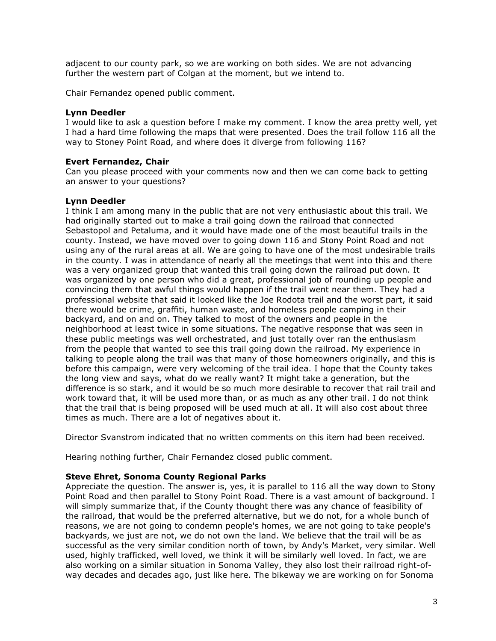adjacent to our county park, so we are working on both sides. We are not advancing further the western part of Colgan at the moment, but we intend to.

Chair Fernandez opened public comment.

## **Lynn Deedler**

I would like to ask a question before I make my comment. I know the area pretty well, yet I had a hard time following the maps that were presented. Does the trail follow 116 all the way to Stoney Point Road, and where does it diverge from following 116?

### **Evert Fernandez, Chair**

Can you please proceed with your comments now and then we can come back to getting an answer to your questions?

### **Lynn Deedler**

I think I am among many in the public that are not very enthusiastic about this trail. We had originally started out to make a trail going down the railroad that connected Sebastopol and Petaluma, and it would have made one of the most beautiful trails in the county. Instead, we have moved over to going down 116 and Stony Point Road and not using any of the rural areas at all. We are going to have one of the most undesirable trails in the county. I was in attendance of nearly all the meetings that went into this and there was a very organized group that wanted this trail going down the railroad put down. It was organized by one person who did a great, professional job of rounding up people and convincing them that awful things would happen if the trail went near them. They had a professional website that said it looked like the Joe Rodota trail and the worst part, it said there would be crime, graffiti, human waste, and homeless people camping in their backyard, and on and on. They talked to most of the owners and people in the neighborhood at least twice in some situations. The negative response that was seen in these public meetings was well orchestrated, and just totally over ran the enthusiasm from the people that wanted to see this trail going down the railroad. My experience in talking to people along the trail was that many of those homeowners originally, and this is before this campaign, were very welcoming of the trail idea. I hope that the County takes the long view and says, what do we really want? It might take a generation, but the difference is so stark, and it would be so much more desirable to recover that rail trail and work toward that, it will be used more than, or as much as any other trail. I do not think that the trail that is being proposed will be used much at all. It will also cost about three times as much. There are a lot of negatives about it.

Director Svanstrom indicated that no written comments on this item had been received.

Hearing nothing further, Chair Fernandez closed public comment.

## **Steve Ehret, Sonoma County Regional Parks**

Appreciate the question. The answer is, yes, it is parallel to 116 all the way down to Stony Point Road and then parallel to Stony Point Road. There is a vast amount of background. I will simply summarize that, if the County thought there was any chance of feasibility of the railroad, that would be the preferred alternative, but we do not, for a whole bunch of reasons, we are not going to condemn people's homes, we are not going to take people's backyards, we just are not, we do not own the land. We believe that the trail will be as successful as the very similar condition north of town, by Andy's Market, very similar. Well used, highly trafficked, well loved, we think it will be similarly well loved. In fact, we are also working on a similar situation in Sonoma Valley, they also lost their railroad right-ofway decades and decades ago, just like here. The bikeway we are working on for Sonoma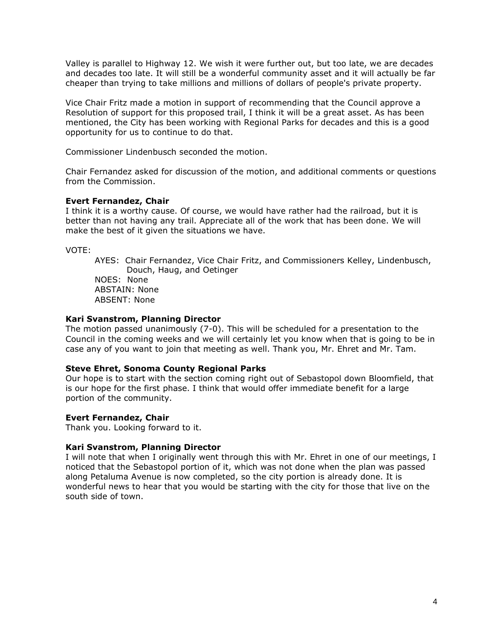Valley is parallel to Highway 12. We wish it were further out, but too late, we are decades and decades too late. It will still be a wonderful community asset and it will actually be far cheaper than trying to take millions and millions of dollars of people's private property.

Vice Chair Fritz made a motion in support of recommending that the Council approve a Resolution of support for this proposed trail, I think it will be a great asset. As has been mentioned, the City has been working with Regional Parks for decades and this is a good opportunity for us to continue to do that.

Commissioner Lindenbusch seconded the motion.

Chair Fernandez asked for discussion of the motion, and additional comments or questions from the Commission.

### **Evert Fernandez, Chair**

I think it is a worthy cause. Of course, we would have rather had the railroad, but it is better than not having any trail. Appreciate all of the work that has been done. We will make the best of it given the situations we have.

VOTE:

AYES: Chair Fernandez, Vice Chair Fritz, and Commissioners Kelley, Lindenbusch, Douch, Haug, and Oetinger NOES: None ABSTAIN: None ABSENT: None

### **Kari Svanstrom, Planning Director**

The motion passed unanimously (7-0). This will be scheduled for a presentation to the Council in the coming weeks and we will certainly let you know when that is going to be in case any of you want to join that meeting as well. Thank you, Mr. Ehret and Mr. Tam.

## **Steve Ehret, Sonoma County Regional Parks**

Our hope is to start with the section coming right out of Sebastopol down Bloomfield, that is our hope for the first phase. I think that would offer immediate benefit for a large portion of the community.

#### **Evert Fernandez, Chair**

Thank you. Looking forward to it.

## **Kari Svanstrom, Planning Director**

I will note that when I originally went through this with Mr. Ehret in one of our meetings, I noticed that the Sebastopol portion of it, which was not done when the plan was passed along Petaluma Avenue is now completed, so the city portion is already done. It is wonderful news to hear that you would be starting with the city for those that live on the south side of town.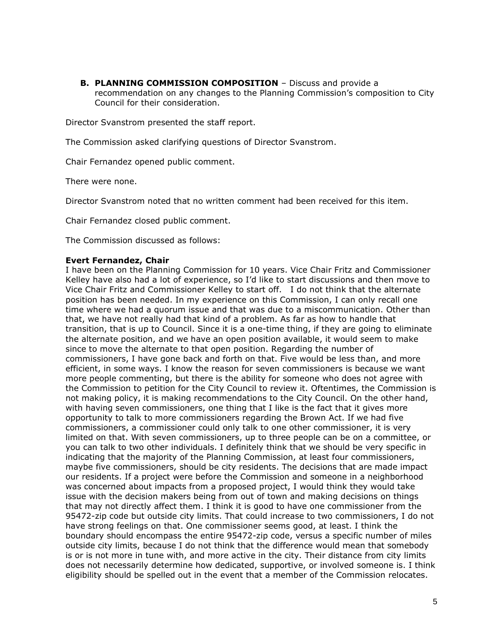**B. PLANNING COMMISSION COMPOSITION** – Discuss and provide a recommendation on any changes to the Planning Commission's composition to City Council for their consideration.

Director Svanstrom presented the staff report.

The Commission asked clarifying questions of Director Svanstrom.

Chair Fernandez opened public comment.

There were none.

Director Svanstrom noted that no written comment had been received for this item.

Chair Fernandez closed public comment.

The Commission discussed as follows:

#### **Evert Fernandez, Chair**

I have been on the Planning Commission for 10 years. Vice Chair Fritz and Commissioner Kelley have also had a lot of experience, so I'd like to start discussions and then move to Vice Chair Fritz and Commissioner Kelley to start off. I do not think that the alternate position has been needed. In my experience on this Commission, I can only recall one time where we had a quorum issue and that was due to a miscommunication. Other than that, we have not really had that kind of a problem. As far as how to handle that transition, that is up to Council. Since it is a one-time thing, if they are going to eliminate the alternate position, and we have an open position available, it would seem to make since to move the alternate to that open position. Regarding the number of commissioners, I have gone back and forth on that. Five would be less than, and more efficient, in some ways. I know the reason for seven commissioners is because we want more people commenting, but there is the ability for someone who does not agree with the Commission to petition for the City Council to review it. Oftentimes, the Commission is not making policy, it is making recommendations to the City Council. On the other hand, with having seven commissioners, one thing that I like is the fact that it gives more opportunity to talk to more commissioners regarding the Brown Act. If we had five commissioners, a commissioner could only talk to one other commissioner, it is very limited on that. With seven commissioners, up to three people can be on a committee, or you can talk to two other individuals. I definitely think that we should be very specific in indicating that the majority of the Planning Commission, at least four commissioners, maybe five commissioners, should be city residents. The decisions that are made impact our residents. If a project were before the Commission and someone in a neighborhood was concerned about impacts from a proposed project, I would think they would take issue with the decision makers being from out of town and making decisions on things that may not directly affect them. I think it is good to have one commissioner from the 95472-zip code but outside city limits. That could increase to two commissioners, I do not have strong feelings on that. One commissioner seems good, at least. I think the boundary should encompass the entire 95472-zip code, versus a specific number of miles outside city limits, because I do not think that the difference would mean that somebody is or is not more in tune with, and more active in the city. Their distance from city limits does not necessarily determine how dedicated, supportive, or involved someone is. I think eligibility should be spelled out in the event that a member of the Commission relocates.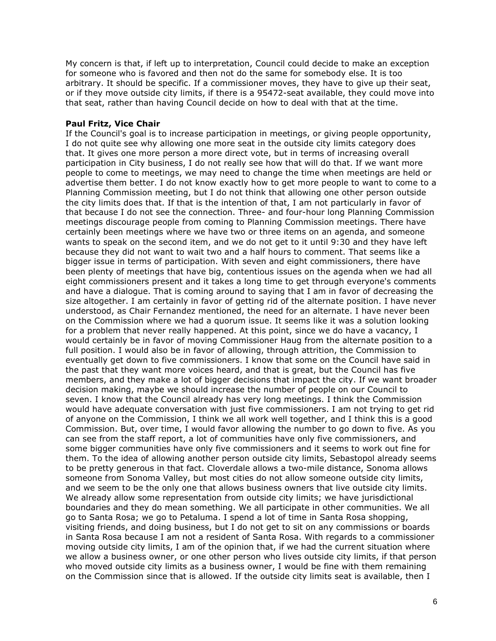My concern is that, if left up to interpretation, Council could decide to make an exception for someone who is favored and then not do the same for somebody else. It is too arbitrary. It should be specific. If a commissioner moves, they have to give up their seat, or if they move outside city limits, if there is a 95472-seat available, they could move into that seat, rather than having Council decide on how to deal with that at the time.

### **Paul Fritz, Vice Chair**

If the Council's goal is to increase participation in meetings, or giving people opportunity, I do not quite see why allowing one more seat in the outside city limits category does that. It gives one more person a more direct vote, but in terms of increasing overall participation in City business, I do not really see how that will do that. If we want more people to come to meetings, we may need to change the time when meetings are held or advertise them better. I do not know exactly how to get more people to want to come to a Planning Commission meeting, but I do not think that allowing one other person outside the city limits does that. If that is the intention of that, I am not particularly in favor of that because I do not see the connection. Three- and four-hour long Planning Commission meetings discourage people from coming to Planning Commission meetings. There have certainly been meetings where we have two or three items on an agenda, and someone wants to speak on the second item, and we do not get to it until 9:30 and they have left because they did not want to wait two and a half hours to comment. That seems like a bigger issue in terms of participation. With seven and eight commissioners, there have been plenty of meetings that have big, contentious issues on the agenda when we had all eight commissioners present and it takes a long time to get through everyone's comments and have a dialogue. That is coming around to saying that I am in favor of decreasing the size altogether. I am certainly in favor of getting rid of the alternate position. I have never understood, as Chair Fernandez mentioned, the need for an alternate. I have never been on the Commission where we had a quorum issue. It seems like it was a solution looking for a problem that never really happened. At this point, since we do have a vacancy, I would certainly be in favor of moving Commissioner Haug from the alternate position to a full position. I would also be in favor of allowing, through attrition, the Commission to eventually get down to five commissioners. I know that some on the Council have said in the past that they want more voices heard, and that is great, but the Council has five members, and they make a lot of bigger decisions that impact the city. If we want broader decision making, maybe we should increase the number of people on our Council to seven. I know that the Council already has very long meetings. I think the Commission would have adequate conversation with just five commissioners. I am not trying to get rid of anyone on the Commission, I think we all work well together, and I think this is a good Commission. But, over time, I would favor allowing the number to go down to five. As you can see from the staff report, a lot of communities have only five commissioners, and some bigger communities have only five commissioners and it seems to work out fine for them. To the idea of allowing another person outside city limits, Sebastopol already seems to be pretty generous in that fact. Cloverdale allows a two-mile distance, Sonoma allows someone from Sonoma Valley, but most cities do not allow someone outside city limits, and we seem to be the only one that allows business owners that live outside city limits. We already allow some representation from outside city limits; we have jurisdictional boundaries and they do mean something. We all participate in other communities. We all go to Santa Rosa; we go to Petaluma. I spend a lot of time in Santa Rosa shopping, visiting friends, and doing business, but I do not get to sit on any commissions or boards in Santa Rosa because I am not a resident of Santa Rosa. With regards to a commissioner moving outside city limits, I am of the opinion that, if we had the current situation where we allow a business owner, or one other person who lives outside city limits, if that person who moved outside city limits as a business owner, I would be fine with them remaining on the Commission since that is allowed. If the outside city limits seat is available, then I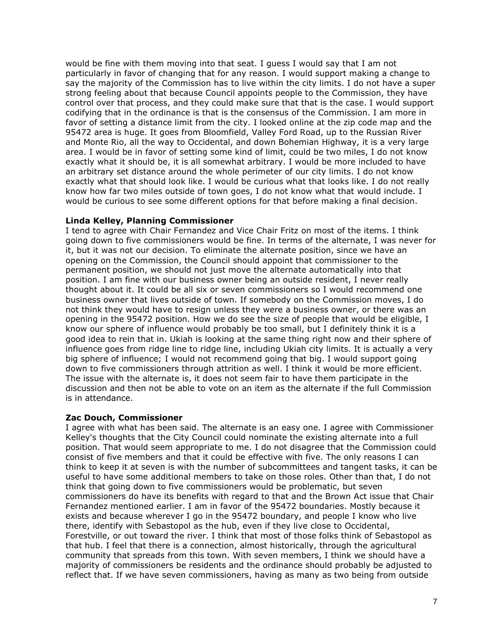would be fine with them moving into that seat. I guess I would say that I am not particularly in favor of changing that for any reason. I would support making a change to say the majority of the Commission has to live within the city limits. I do not have a super strong feeling about that because Council appoints people to the Commission, they have control over that process, and they could make sure that that is the case. I would support codifying that in the ordinance is that is the consensus of the Commission. I am more in favor of setting a distance limit from the city. I looked online at the zip code map and the 95472 area is huge. It goes from Bloomfield, Valley Ford Road, up to the Russian River and Monte Rio, all the way to Occidental, and down Bohemian Highway, it is a very large area. I would be in favor of setting some kind of limit, could be two miles, I do not know exactly what it should be, it is all somewhat arbitrary. I would be more included to have an arbitrary set distance around the whole perimeter of our city limits. I do not know exactly what that should look like. I would be curious what that looks like. I do not really know how far two miles outside of town goes, I do not know what that would include. I would be curious to see some different options for that before making a final decision.

## **Linda Kelley, Planning Commissioner**

I tend to agree with Chair Fernandez and Vice Chair Fritz on most of the items. I think going down to five commissioners would be fine. In terms of the alternate, I was never for it, but it was not our decision. To eliminate the alternate position, since we have an opening on the Commission, the Council should appoint that commissioner to the permanent position, we should not just move the alternate automatically into that position. I am fine with our business owner being an outside resident, I never really thought about it. It could be all six or seven commissioners so I would recommend one business owner that lives outside of town. If somebody on the Commission moves, I do not think they would have to resign unless they were a business owner, or there was an opening in the 95472 position. How we do see the size of people that would be eligible, I know our sphere of influence would probably be too small, but I definitely think it is a good idea to rein that in. Ukiah is looking at the same thing right now and their sphere of influence goes from ridge line to ridge line, including Ukiah city limits. It is actually a very big sphere of influence; I would not recommend going that big. I would support going down to five commissioners through attrition as well. I think it would be more efficient. The issue with the alternate is, it does not seem fair to have them participate in the discussion and then not be able to vote on an item as the alternate if the full Commission is in attendance.

#### **Zac Douch, Commissioner**

I agree with what has been said. The alternate is an easy one. I agree with Commissioner Kelley's thoughts that the City Council could nominate the existing alternate into a full position. That would seem appropriate to me. I do not disagree that the Commission could consist of five members and that it could be effective with five. The only reasons I can think to keep it at seven is with the number of subcommittees and tangent tasks, it can be useful to have some additional members to take on those roles. Other than that, I do not think that going down to five commissioners would be problematic, but seven commissioners do have its benefits with regard to that and the Brown Act issue that Chair Fernandez mentioned earlier. I am in favor of the 95472 boundaries. Mostly because it exists and because wherever I go in the 95472 boundary, and people I know who live there, identify with Sebastopol as the hub, even if they live close to Occidental, Forestville, or out toward the river. I think that most of those folks think of Sebastopol as that hub. I feel that there is a connection, almost historically, through the agricultural community that spreads from this town. With seven members, I think we should have a majority of commissioners be residents and the ordinance should probably be adjusted to reflect that. If we have seven commissioners, having as many as two being from outside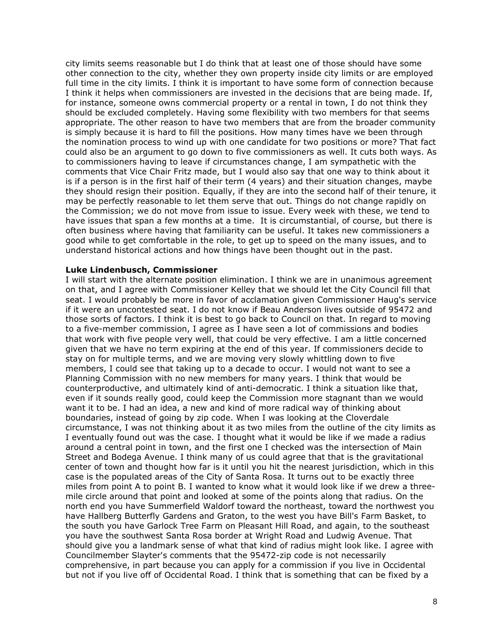city limits seems reasonable but I do think that at least one of those should have some other connection to the city, whether they own property inside city limits or are employed full time in the city limits. I think it is important to have some form of connection because I think it helps when commissioners are invested in the decisions that are being made. If, for instance, someone owns commercial property or a rental in town, I do not think they should be excluded completely. Having some flexibility with two members for that seems appropriate. The other reason to have two members that are from the broader community is simply because it is hard to fill the positions. How many times have we been through the nomination process to wind up with one candidate for two positions or more? That fact could also be an argument to go down to five commissioners as well. It cuts both ways. As to commissioners having to leave if circumstances change, I am sympathetic with the comments that Vice Chair Fritz made, but I would also say that one way to think about it is if a person is in the first half of their term (4 years) and their situation changes, maybe they should resign their position. Equally, if they are into the second half of their tenure, it may be perfectly reasonable to let them serve that out. Things do not change rapidly on the Commission; we do not move from issue to issue. Every week with these, we tend to have issues that span a few months at a time. It is circumstantial, of course, but there is often business where having that familiarity can be useful. It takes new commissioners a good while to get comfortable in the role, to get up to speed on the many issues, and to understand historical actions and how things have been thought out in the past.

### **Luke Lindenbusch, Commissioner**

I will start with the alternate position elimination. I think we are in unanimous agreement on that, and I agree with Commissioner Kelley that we should let the City Council fill that seat. I would probably be more in favor of acclamation given Commissioner Haug's service if it were an uncontested seat. I do not know if Beau Anderson lives outside of 95472 and those sorts of factors. I think it is best to go back to Council on that. In regard to moving to a five-member commission, I agree as I have seen a lot of commissions and bodies that work with five people very well, that could be very effective. I am a little concerned given that we have no term expiring at the end of this year. If commissioners decide to stay on for multiple terms, and we are moving very slowly whittling down to five members, I could see that taking up to a decade to occur. I would not want to see a Planning Commission with no new members for many years. I think that would be counterproductive, and ultimately kind of anti-democratic. I think a situation like that, even if it sounds really good, could keep the Commission more stagnant than we would want it to be. I had an idea, a new and kind of more radical way of thinking about boundaries, instead of going by zip code. When I was looking at the Cloverdale circumstance, I was not thinking about it as two miles from the outline of the city limits as I eventually found out was the case. I thought what it would be like if we made a radius around a central point in town, and the first one I checked was the intersection of Main Street and Bodega Avenue. I think many of us could agree that that is the gravitational center of town and thought how far is it until you hit the nearest jurisdiction, which in this case is the populated areas of the City of Santa Rosa. It turns out to be exactly three miles from point A to point B. I wanted to know what it would look like if we drew a threemile circle around that point and looked at some of the points along that radius. On the north end you have Summerfield Waldorf toward the northeast, toward the northwest you have Hallberg Butterfly Gardens and Graton, to the west you have Bill's Farm Basket, to the south you have Garlock Tree Farm on Pleasant Hill Road, and again, to the southeast you have the southwest Santa Rosa border at Wright Road and Ludwig Avenue. That should give you a landmark sense of what that kind of radius might look like. I agree with Councilmember Slayter's comments that the 95472-zip code is not necessarily comprehensive, in part because you can apply for a commission if you live in Occidental but not if you live off of Occidental Road. I think that is something that can be fixed by a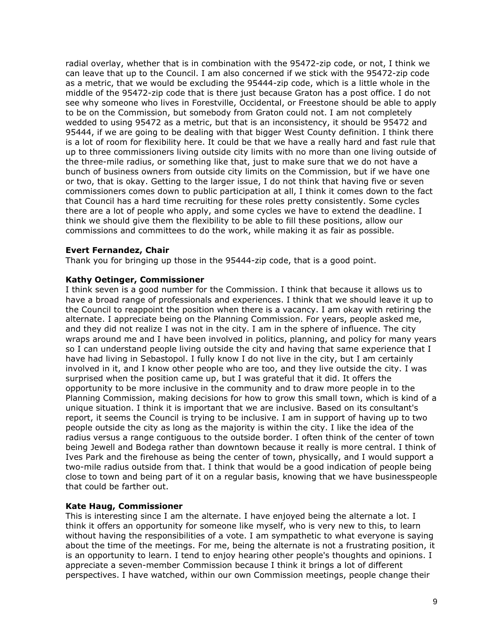radial overlay, whether that is in combination with the 95472-zip code, or not, I think we can leave that up to the Council. I am also concerned if we stick with the 95472-zip code as a metric, that we would be excluding the 95444-zip code, which is a little whole in the middle of the 95472-zip code that is there just because Graton has a post office. I do not see why someone who lives in Forestville, Occidental, or Freestone should be able to apply to be on the Commission, but somebody from Graton could not. I am not completely wedded to using 95472 as a metric, but that is an inconsistency, it should be 95472 and 95444, if we are going to be dealing with that bigger West County definition. I think there is a lot of room for flexibility here. It could be that we have a really hard and fast rule that up to three commissioners living outside city limits with no more than one living outside of the three-mile radius, or something like that, just to make sure that we do not have a bunch of business owners from outside city limits on the Commission, but if we have one or two, that is okay. Getting to the larger issue, I do not think that having five or seven commissioners comes down to public participation at all, I think it comes down to the fact that Council has a hard time recruiting for these roles pretty consistently. Some cycles there are a lot of people who apply, and some cycles we have to extend the deadline. I think we should give them the flexibility to be able to fill these positions, allow our commissions and committees to do the work, while making it as fair as possible.

## **Evert Fernandez, Chair**

Thank you for bringing up those in the 95444-zip code, that is a good point.

### **Kathy Oetinger, Commissioner**

I think seven is a good number for the Commission. I think that because it allows us to have a broad range of professionals and experiences. I think that we should leave it up to the Council to reappoint the position when there is a vacancy. I am okay with retiring the alternate. I appreciate being on the Planning Commission. For years, people asked me, and they did not realize I was not in the city. I am in the sphere of influence. The city wraps around me and I have been involved in politics, planning, and policy for many years so I can understand people living outside the city and having that same experience that I have had living in Sebastopol. I fully know I do not live in the city, but I am certainly involved in it, and I know other people who are too, and they live outside the city. I was surprised when the position came up, but I was grateful that it did. It offers the opportunity to be more inclusive in the community and to draw more people in to the Planning Commission, making decisions for how to grow this small town, which is kind of a unique situation. I think it is important that we are inclusive. Based on its consultant's report, it seems the Council is trying to be inclusive. I am in support of having up to two people outside the city as long as the majority is within the city. I like the idea of the radius versus a range contiguous to the outside border. I often think of the center of town being Jewell and Bodega rather than downtown because it really is more central. I think of Ives Park and the firehouse as being the center of town, physically, and I would support a two-mile radius outside from that. I think that would be a good indication of people being close to town and being part of it on a regular basis, knowing that we have businesspeople that could be farther out.

## **Kate Haug, Commissioner**

This is interesting since I am the alternate. I have enjoyed being the alternate a lot. I think it offers an opportunity for someone like myself, who is very new to this, to learn without having the responsibilities of a vote. I am sympathetic to what everyone is saying about the time of the meetings. For me, being the alternate is not a frustrating position, it is an opportunity to learn. I tend to enjoy hearing other people's thoughts and opinions. I appreciate a seven-member Commission because I think it brings a lot of different perspectives. I have watched, within our own Commission meetings, people change their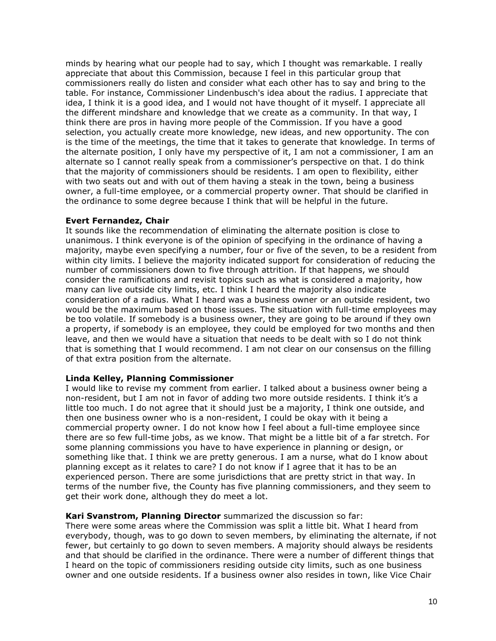minds by hearing what our people had to say, which I thought was remarkable. I really appreciate that about this Commission, because I feel in this particular group that commissioners really do listen and consider what each other has to say and bring to the table. For instance, Commissioner Lindenbusch's idea about the radius. I appreciate that idea, I think it is a good idea, and I would not have thought of it myself. I appreciate all the different mindshare and knowledge that we create as a community. In that way, I think there are pros in having more people of the Commission. If you have a good selection, you actually create more knowledge, new ideas, and new opportunity. The con is the time of the meetings, the time that it takes to generate that knowledge. In terms of the alternate position, I only have my perspective of it, I am not a commissioner, I am an alternate so I cannot really speak from a commissioner's perspective on that. I do think that the majority of commissioners should be residents. I am open to flexibility, either with two seats out and with out of them having a steak in the town, being a business owner, a full-time employee, or a commercial property owner. That should be clarified in the ordinance to some degree because I think that will be helpful in the future.

## **Evert Fernandez, Chair**

It sounds like the recommendation of eliminating the alternate position is close to unanimous. I think everyone is of the opinion of specifying in the ordinance of having a majority, maybe even specifying a number, four or five of the seven, to be a resident from within city limits. I believe the majority indicated support for consideration of reducing the number of commissioners down to five through attrition. If that happens, we should consider the ramifications and revisit topics such as what is considered a majority, how many can live outside city limits, etc. I think I heard the majority also indicate consideration of a radius. What I heard was a business owner or an outside resident, two would be the maximum based on those issues. The situation with full-time employees may be too volatile. If somebody is a business owner, they are going to be around if they own a property, if somebody is an employee, they could be employed for two months and then leave, and then we would have a situation that needs to be dealt with so I do not think that is something that I would recommend. I am not clear on our consensus on the filling of that extra position from the alternate.

## **Linda Kelley, Planning Commissioner**

I would like to revise my comment from earlier. I talked about a business owner being a non-resident, but I am not in favor of adding two more outside residents. I think it's a little too much. I do not agree that it should just be a majority, I think one outside, and then one business owner who is a non-resident, I could be okay with it being a commercial property owner. I do not know how I feel about a full-time employee since there are so few full-time jobs, as we know. That might be a little bit of a far stretch. For some planning commissions you have to have experience in planning or design, or something like that. I think we are pretty generous. I am a nurse, what do I know about planning except as it relates to care? I do not know if I agree that it has to be an experienced person. There are some jurisdictions that are pretty strict in that way. In terms of the number five, the County has five planning commissioners, and they seem to get their work done, although they do meet a lot.

#### **Kari Svanstrom, Planning Director** summarized the discussion so far:

There were some areas where the Commission was split a little bit. What I heard from everybody, though, was to go down to seven members, by eliminating the alternate, if not fewer, but certainly to go down to seven members. A majority should always be residents and that should be clarified in the ordinance. There were a number of different things that I heard on the topic of commissioners residing outside city limits, such as one business owner and one outside residents. If a business owner also resides in town, like Vice Chair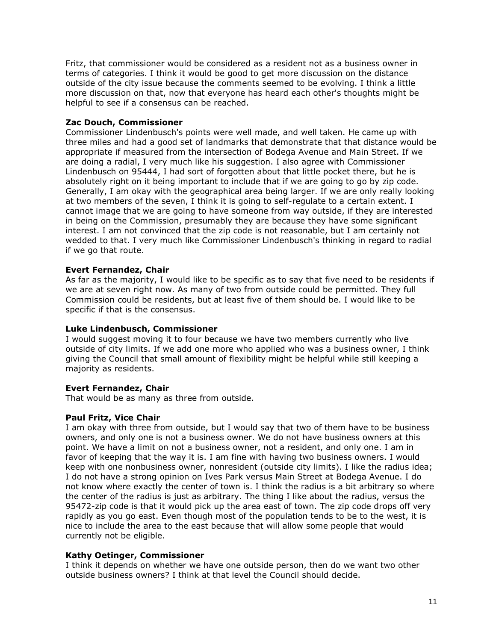Fritz, that commissioner would be considered as a resident not as a business owner in terms of categories. I think it would be good to get more discussion on the distance outside of the city issue because the comments seemed to be evolving. I think a little more discussion on that, now that everyone has heard each other's thoughts might be helpful to see if a consensus can be reached.

## **Zac Douch, Commissioner**

Commissioner Lindenbusch's points were well made, and well taken. He came up with three miles and had a good set of landmarks that demonstrate that that distance would be appropriate if measured from the intersection of Bodega Avenue and Main Street. If we are doing a radial, I very much like his suggestion. I also agree with Commissioner Lindenbusch on 95444, I had sort of forgotten about that little pocket there, but he is absolutely right on it being important to include that if we are going to go by zip code. Generally, I am okay with the geographical area being larger. If we are only really looking at two members of the seven, I think it is going to self-regulate to a certain extent. I cannot image that we are going to have someone from way outside, if they are interested in being on the Commission, presumably they are because they have some significant interest. I am not convinced that the zip code is not reasonable, but I am certainly not wedded to that. I very much like Commissioner Lindenbusch's thinking in regard to radial if we go that route.

# **Evert Fernandez, Chair**

As far as the majority, I would like to be specific as to say that five need to be residents if we are at seven right now. As many of two from outside could be permitted. They full Commission could be residents, but at least five of them should be. I would like to be specific if that is the consensus.

# **Luke Lindenbusch, Commissioner**

I would suggest moving it to four because we have two members currently who live outside of city limits. If we add one more who applied who was a business owner, I think giving the Council that small amount of flexibility might be helpful while still keeping a majority as residents.

## **Evert Fernandez, Chair**

That would be as many as three from outside.

## **Paul Fritz, Vice Chair**

I am okay with three from outside, but I would say that two of them have to be business owners, and only one is not a business owner. We do not have business owners at this point. We have a limit on not a business owner, not a resident, and only one. I am in favor of keeping that the way it is. I am fine with having two business owners. I would keep with one nonbusiness owner, nonresident (outside city limits). I like the radius idea; I do not have a strong opinion on Ives Park versus Main Street at Bodega Avenue. I do not know where exactly the center of town is. I think the radius is a bit arbitrary so where the center of the radius is just as arbitrary. The thing I like about the radius, versus the 95472-zip code is that it would pick up the area east of town. The zip code drops off very rapidly as you go east. Even though most of the population tends to be to the west, it is nice to include the area to the east because that will allow some people that would currently not be eligible.

## **Kathy Oetinger, Commissioner**

I think it depends on whether we have one outside person, then do we want two other outside business owners? I think at that level the Council should decide.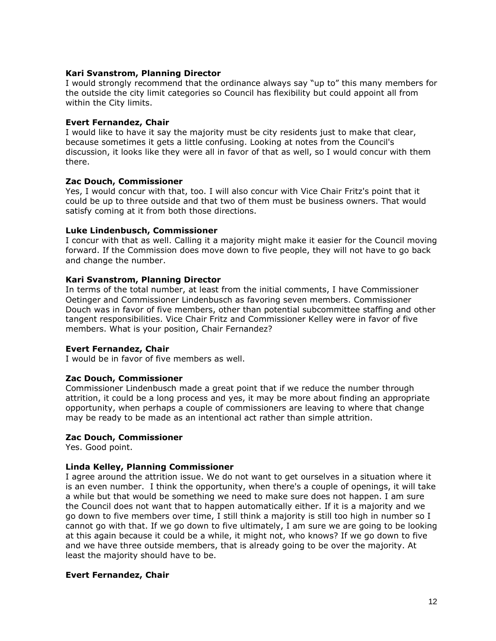## **Kari Svanstrom, Planning Director**

I would strongly recommend that the ordinance always say "up to" this many members for the outside the city limit categories so Council has flexibility but could appoint all from within the City limits.

### **Evert Fernandez, Chair**

I would like to have it say the majority must be city residents just to make that clear, because sometimes it gets a little confusing. Looking at notes from the Council's discussion, it looks like they were all in favor of that as well, so I would concur with them there.

### **Zac Douch, Commissioner**

Yes, I would concur with that, too. I will also concur with Vice Chair Fritz's point that it could be up to three outside and that two of them must be business owners. That would satisfy coming at it from both those directions.

### **Luke Lindenbusch, Commissioner**

I concur with that as well. Calling it a majority might make it easier for the Council moving forward. If the Commission does move down to five people, they will not have to go back and change the number.

### **Kari Svanstrom, Planning Director**

In terms of the total number, at least from the initial comments, I have Commissioner Oetinger and Commissioner Lindenbusch as favoring seven members. Commissioner Douch was in favor of five members, other than potential subcommittee staffing and other tangent responsibilities. Vice Chair Fritz and Commissioner Kelley were in favor of five members. What is your position, Chair Fernandez?

#### **Evert Fernandez, Chair**

I would be in favor of five members as well.

## **Zac Douch, Commissioner**

Commissioner Lindenbusch made a great point that if we reduce the number through attrition, it could be a long process and yes, it may be more about finding an appropriate opportunity, when perhaps a couple of commissioners are leaving to where that change may be ready to be made as an intentional act rather than simple attrition.

#### **Zac Douch, Commissioner**

Yes. Good point.

## **Linda Kelley, Planning Commissioner**

I agree around the attrition issue. We do not want to get ourselves in a situation where it is an even number. I think the opportunity, when there's a couple of openings, it will take a while but that would be something we need to make sure does not happen. I am sure the Council does not want that to happen automatically either. If it is a majority and we go down to five members over time, I still think a majority is still too high in number so I cannot go with that. If we go down to five ultimately, I am sure we are going to be looking at this again because it could be a while, it might not, who knows? If we go down to five and we have three outside members, that is already going to be over the majority. At least the majority should have to be.

## **Evert Fernandez, Chair**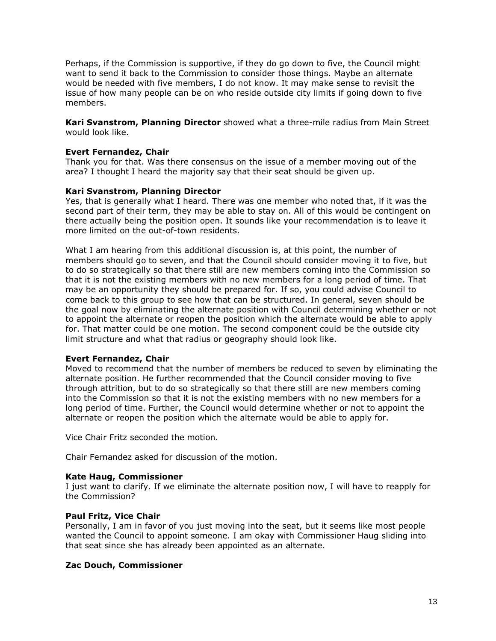Perhaps, if the Commission is supportive, if they do go down to five, the Council might want to send it back to the Commission to consider those things. Maybe an alternate would be needed with five members, I do not know. It may make sense to revisit the issue of how many people can be on who reside outside city limits if going down to five members.

**Kari Svanstrom, Planning Director** showed what a three-mile radius from Main Street would look like.

## **Evert Fernandez, Chair**

Thank you for that. Was there consensus on the issue of a member moving out of the area? I thought I heard the majority say that their seat should be given up.

# **Kari Svanstrom, Planning Director**

Yes, that is generally what I heard. There was one member who noted that, if it was the second part of their term, they may be able to stay on. All of this would be contingent on there actually being the position open. It sounds like your recommendation is to leave it more limited on the out-of-town residents.

What I am hearing from this additional discussion is, at this point, the number of members should go to seven, and that the Council should consider moving it to five, but to do so strategically so that there still are new members coming into the Commission so that it is not the existing members with no new members for a long period of time. That may be an opportunity they should be prepared for. If so, you could advise Council to come back to this group to see how that can be structured. In general, seven should be the goal now by eliminating the alternate position with Council determining whether or not to appoint the alternate or reopen the position which the alternate would be able to apply for. That matter could be one motion. The second component could be the outside city limit structure and what that radius or geography should look like.

## **Evert Fernandez, Chair**

Moved to recommend that the number of members be reduced to seven by eliminating the alternate position. He further recommended that the Council consider moving to five through attrition, but to do so strategically so that there still are new members coming into the Commission so that it is not the existing members with no new members for a long period of time. Further, the Council would determine whether or not to appoint the alternate or reopen the position which the alternate would be able to apply for.

Vice Chair Fritz seconded the motion.

Chair Fernandez asked for discussion of the motion.

## **Kate Haug, Commissioner**

I just want to clarify. If we eliminate the alternate position now, I will have to reapply for the Commission?

## **Paul Fritz, Vice Chair**

Personally, I am in favor of you just moving into the seat, but it seems like most people wanted the Council to appoint someone. I am okay with Commissioner Haug sliding into that seat since she has already been appointed as an alternate.

## **Zac Douch, Commissioner**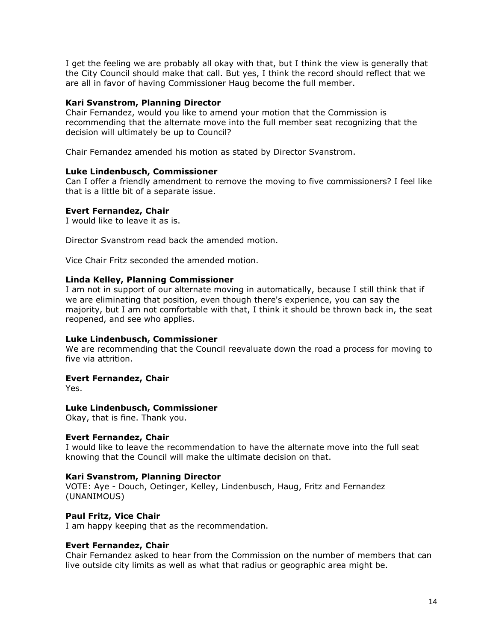I get the feeling we are probably all okay with that, but I think the view is generally that the City Council should make that call. But yes, I think the record should reflect that we are all in favor of having Commissioner Haug become the full member.

### **Kari Svanstrom, Planning Director**

Chair Fernandez, would you like to amend your motion that the Commission is recommending that the alternate move into the full member seat recognizing that the decision will ultimately be up to Council?

Chair Fernandez amended his motion as stated by Director Svanstrom.

### **Luke Lindenbusch, Commissioner**

Can I offer a friendly amendment to remove the moving to five commissioners? I feel like that is a little bit of a separate issue.

### **Evert Fernandez, Chair**

I would like to leave it as is.

Director Svanstrom read back the amended motion.

Vice Chair Fritz seconded the amended motion.

#### **Linda Kelley, Planning Commissioner**

I am not in support of our alternate moving in automatically, because I still think that if we are eliminating that position, even though there's experience, you can say the majority, but I am not comfortable with that, I think it should be thrown back in, the seat reopened, and see who applies.

#### **Luke Lindenbusch, Commissioner**

We are recommending that the Council reevaluate down the road a process for moving to five via attrition.

#### **Evert Fernandez, Chair**

Yes.

#### **Luke Lindenbusch, Commissioner**

Okay, that is fine. Thank you.

#### **Evert Fernandez, Chair**

I would like to leave the recommendation to have the alternate move into the full seat knowing that the Council will make the ultimate decision on that.

#### **Kari Svanstrom, Planning Director**

VOTE: Aye - Douch, Oetinger, Kelley, Lindenbusch, Haug, Fritz and Fernandez (UNANIMOUS)

#### **Paul Fritz, Vice Chair**

I am happy keeping that as the recommendation.

#### **Evert Fernandez, Chair**

Chair Fernandez asked to hear from the Commission on the number of members that can live outside city limits as well as what that radius or geographic area might be.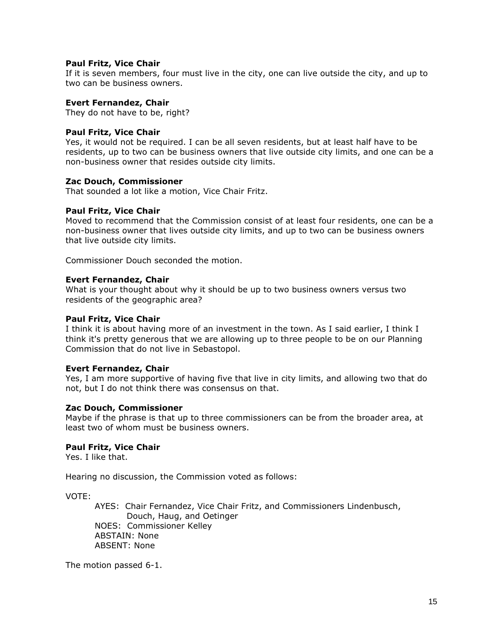### **Paul Fritz, Vice Chair**

If it is seven members, four must live in the city, one can live outside the city, and up to two can be business owners.

### **Evert Fernandez, Chair**

They do not have to be, right?

### **Paul Fritz, Vice Chair**

Yes, it would not be required. I can be all seven residents, but at least half have to be residents, up to two can be business owners that live outside city limits, and one can be a non-business owner that resides outside city limits.

### **Zac Douch, Commissioner**

That sounded a lot like a motion, Vice Chair Fritz.

### **Paul Fritz, Vice Chair**

Moved to recommend that the Commission consist of at least four residents, one can be a non-business owner that lives outside city limits, and up to two can be business owners that live outside city limits.

Commissioner Douch seconded the motion.

#### **Evert Fernandez, Chair**

What is your thought about why it should be up to two business owners versus two residents of the geographic area?

#### **Paul Fritz, Vice Chair**

I think it is about having more of an investment in the town. As I said earlier, I think I think it's pretty generous that we are allowing up to three people to be on our Planning Commission that do not live in Sebastopol.

#### **Evert Fernandez, Chair**

Yes, I am more supportive of having five that live in city limits, and allowing two that do not, but I do not think there was consensus on that.

#### **Zac Douch, Commissioner**

Maybe if the phrase is that up to three commissioners can be from the broader area, at least two of whom must be business owners.

### **Paul Fritz, Vice Chair**

Yes. I like that.

Hearing no discussion, the Commission voted as follows:

VOTE:

AYES: Chair Fernandez, Vice Chair Fritz, and Commissioners Lindenbusch, Douch, Haug, and Oetinger NOES: Commissioner Kelley ABSTAIN: None ABSENT: None

The motion passed 6-1.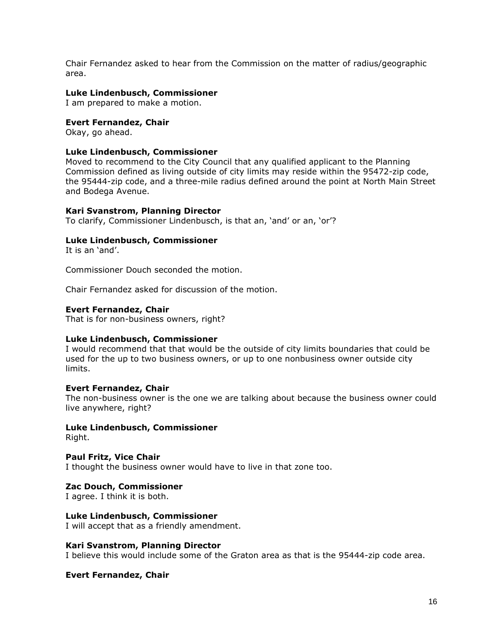Chair Fernandez asked to hear from the Commission on the matter of radius/geographic area.

### **Luke Lindenbusch, Commissioner**

I am prepared to make a motion.

### **Evert Fernandez, Chair**

Okay, go ahead.

### **Luke Lindenbusch, Commissioner**

Moved to recommend to the City Council that any qualified applicant to the Planning Commission defined as living outside of city limits may reside within the 95472-zip code, the 95444-zip code, and a three-mile radius defined around the point at North Main Street and Bodega Avenue.

### **Kari Svanstrom, Planning Director**

To clarify, Commissioner Lindenbusch, is that an, 'and' or an, 'or'?

### **Luke Lindenbusch, Commissioner**

It is an 'and'.

Commissioner Douch seconded the motion.

Chair Fernandez asked for discussion of the motion.

#### **Evert Fernandez, Chair**

That is for non-business owners, right?

#### **Luke Lindenbusch, Commissioner**

I would recommend that that would be the outside of city limits boundaries that could be used for the up to two business owners, or up to one nonbusiness owner outside city limits.

#### **Evert Fernandez, Chair**

The non-business owner is the one we are talking about because the business owner could live anywhere, right?

**Luke Lindenbusch, Commissioner**  Right.

**Paul Fritz, Vice Chair**  I thought the business owner would have to live in that zone too.

**Zac Douch, Commissioner** 

I agree. I think it is both.

**Luke Lindenbusch, Commissioner**  I will accept that as a friendly amendment.

#### **Kari Svanstrom, Planning Director**

I believe this would include some of the Graton area as that is the 95444-zip code area.

**Evert Fernandez, Chair**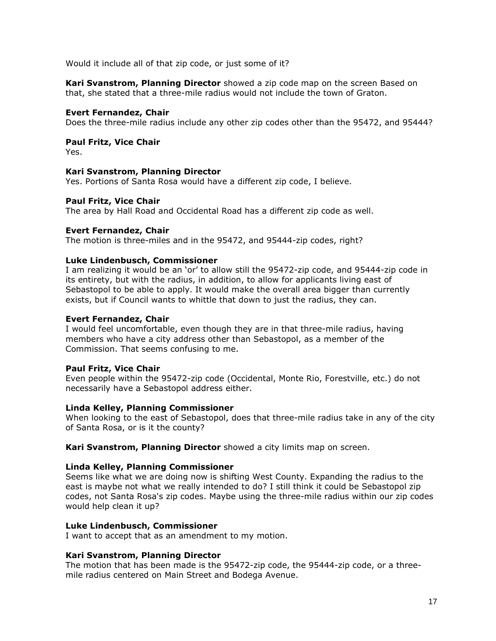Would it include all of that zip code, or just some of it?

**Kari Svanstrom, Planning Director** showed a zip code map on the screen Based on that, she stated that a three-mile radius would not include the town of Graton.

### **Evert Fernandez, Chair**

Does the three-mile radius include any other zip codes other than the 95472, and 95444?

# **Paul Fritz, Vice Chair**

Yes.

### **Kari Svanstrom, Planning Director**

Yes. Portions of Santa Rosa would have a different zip code, I believe.

### **Paul Fritz, Vice Chair**

The area by Hall Road and Occidental Road has a different zip code as well.

### **Evert Fernandez, Chair**

The motion is three-miles and in the 95472, and 95444-zip codes, right?

### **Luke Lindenbusch, Commissioner**

I am realizing it would be an 'or' to allow still the 95472-zip code, and 95444-zip code in its entirety, but with the radius, in addition, to allow for applicants living east of Sebastopol to be able to apply. It would make the overall area bigger than currently exists, but if Council wants to whittle that down to just the radius, they can.

### **Evert Fernandez, Chair**

I would feel uncomfortable, even though they are in that three-mile radius, having members who have a city address other than Sebastopol, as a member of the Commission. That seems confusing to me.

## **Paul Fritz, Vice Chair**

Even people within the 95472-zip code (Occidental, Monte Rio, Forestville, etc.) do not necessarily have a Sebastopol address either.

#### **Linda Kelley, Planning Commissioner**

When looking to the east of Sebastopol, does that three-mile radius take in any of the city of Santa Rosa, or is it the county?

**Kari Svanstrom, Planning Director** showed a city limits map on screen.

### **Linda Kelley, Planning Commissioner**

Seems like what we are doing now is shifting West County. Expanding the radius to the east is maybe not what we really intended to do? I still think it could be Sebastopol zip codes, not Santa Rosa's zip codes. Maybe using the three-mile radius within our zip codes would help clean it up?

#### **Luke Lindenbusch, Commissioner**

I want to accept that as an amendment to my motion.

## **Kari Svanstrom, Planning Director**

The motion that has been made is the 95472-zip code, the 95444-zip code, or a threemile radius centered on Main Street and Bodega Avenue.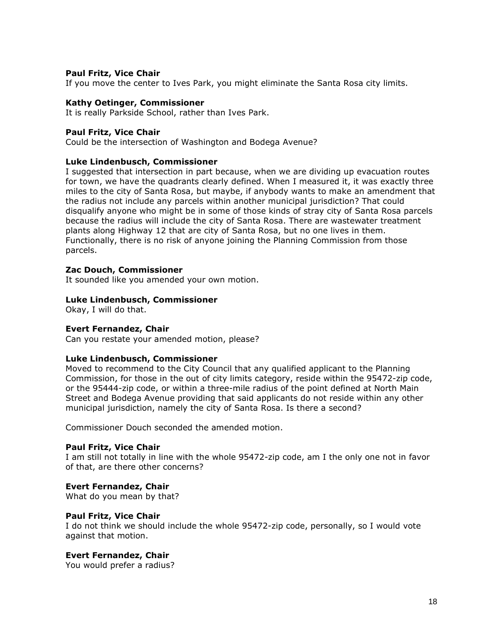### **Paul Fritz, Vice Chair**

If you move the center to Ives Park, you might eliminate the Santa Rosa city limits.

### **Kathy Oetinger, Commissioner**

It is really Parkside School, rather than Ives Park.

### **Paul Fritz, Vice Chair**

Could be the intersection of Washington and Bodega Avenue?

### **Luke Lindenbusch, Commissioner**

I suggested that intersection in part because, when we are dividing up evacuation routes for town, we have the quadrants clearly defined. When I measured it, it was exactly three miles to the city of Santa Rosa, but maybe, if anybody wants to make an amendment that the radius not include any parcels within another municipal jurisdiction? That could disqualify anyone who might be in some of those kinds of stray city of Santa Rosa parcels because the radius will include the city of Santa Rosa. There are wastewater treatment plants along Highway 12 that are city of Santa Rosa, but no one lives in them. Functionally, there is no risk of anyone joining the Planning Commission from those parcels.

### **Zac Douch, Commissioner**

It sounded like you amended your own motion.

### **Luke Lindenbusch, Commissioner**

Okay, I will do that.

## **Evert Fernandez, Chair**

Can you restate your amended motion, please?

#### **Luke Lindenbusch, Commissioner**

Moved to recommend to the City Council that any qualified applicant to the Planning Commission, for those in the out of city limits category, reside within the 95472-zip code, or the 95444-zip code, or within a three-mile radius of the point defined at North Main Street and Bodega Avenue providing that said applicants do not reside within any other municipal jurisdiction, namely the city of Santa Rosa. Is there a second?

Commissioner Douch seconded the amended motion.

## **Paul Fritz, Vice Chair**

I am still not totally in line with the whole 95472-zip code, am I the only one not in favor of that, are there other concerns?

## **Evert Fernandez, Chair**

What do you mean by that?

## **Paul Fritz, Vice Chair**

I do not think we should include the whole 95472-zip code, personally, so I would vote against that motion.

## **Evert Fernandez, Chair**

You would prefer a radius?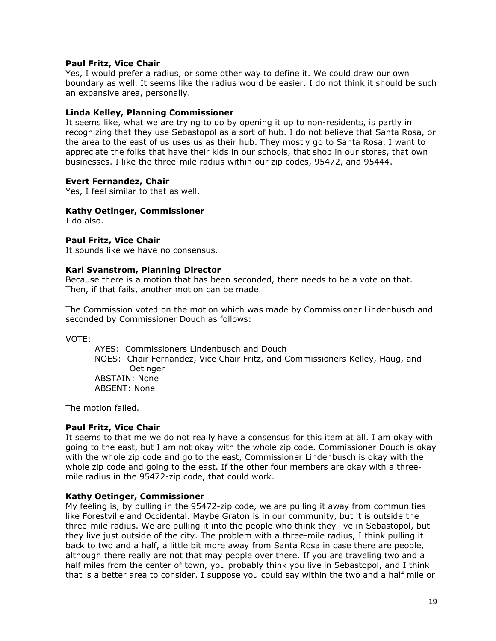## **Paul Fritz, Vice Chair**

Yes, I would prefer a radius, or some other way to define it. We could draw our own boundary as well. It seems like the radius would be easier. I do not think it should be such an expansive area, personally.

### **Linda Kelley, Planning Commissioner**

It seems like, what we are trying to do by opening it up to non-residents, is partly in recognizing that they use Sebastopol as a sort of hub. I do not believe that Santa Rosa, or the area to the east of us uses us as their hub. They mostly go to Santa Rosa. I want to appreciate the folks that have their kids in our schools, that shop in our stores, that own businesses. I like the three-mile radius within our zip codes, 95472, and 95444.

### **Evert Fernandez, Chair**

Yes, I feel similar to that as well.

### **Kathy Oetinger, Commissioner**

I do also.

### **Paul Fritz, Vice Chair**

It sounds like we have no consensus.

### **Kari Svanstrom, Planning Director**

Because there is a motion that has been seconded, there needs to be a vote on that. Then, if that fails, another motion can be made.

The Commission voted on the motion which was made by Commissioner Lindenbusch and seconded by Commissioner Douch as follows:

VOTE:

AYES: Commissioners Lindenbusch and Douch NOES: Chair Fernandez, Vice Chair Fritz, and Commissioners Kelley, Haug, and **Oetinger** ABSTAIN: None ABSENT: None

The motion failed.

#### **Paul Fritz, Vice Chair**

It seems to that me we do not really have a consensus for this item at all. I am okay with going to the east, but I am not okay with the whole zip code. Commissioner Douch is okay with the whole zip code and go to the east, Commissioner Lindenbusch is okay with the whole zip code and going to the east. If the other four members are okay with a threemile radius in the 95472-zip code, that could work.

#### **Kathy Oetinger, Commissioner**

My feeling is, by pulling in the 95472-zip code, we are pulling it away from communities like Forestville and Occidental. Maybe Graton is in our community, but it is outside the three-mile radius. We are pulling it into the people who think they live in Sebastopol, but they live just outside of the city. The problem with a three-mile radius, I think pulling it back to two and a half, a little bit more away from Santa Rosa in case there are people, although there really are not that may people over there. If you are traveling two and a half miles from the center of town, you probably think you live in Sebastopol, and I think that is a better area to consider. I suppose you could say within the two and a half mile or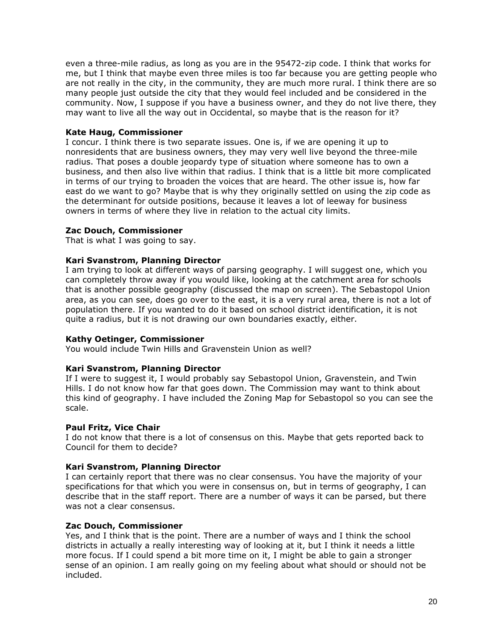even a three-mile radius, as long as you are in the 95472-zip code. I think that works for me, but I think that maybe even three miles is too far because you are getting people who are not really in the city, in the community, they are much more rural. I think there are so many people just outside the city that they would feel included and be considered in the community. Now, I suppose if you have a business owner, and they do not live there, they may want to live all the way out in Occidental, so maybe that is the reason for it?

## **Kate Haug, Commissioner**

I concur. I think there is two separate issues. One is, if we are opening it up to nonresidents that are business owners, they may very well live beyond the three-mile radius. That poses a double jeopardy type of situation where someone has to own a business, and then also live within that radius. I think that is a little bit more complicated in terms of our trying to broaden the voices that are heard. The other issue is, how far east do we want to go? Maybe that is why they originally settled on using the zip code as the determinant for outside positions, because it leaves a lot of leeway for business owners in terms of where they live in relation to the actual city limits.

### **Zac Douch, Commissioner**

That is what I was going to say.

## **Kari Svanstrom, Planning Director**

I am trying to look at different ways of parsing geography. I will suggest one, which you can completely throw away if you would like, looking at the catchment area for schools that is another possible geography (discussed the map on screen). The Sebastopol Union area, as you can see, does go over to the east, it is a very rural area, there is not a lot of population there. If you wanted to do it based on school district identification, it is not quite a radius, but it is not drawing our own boundaries exactly, either.

# **Kathy Oetinger, Commissioner**

You would include Twin Hills and Gravenstein Union as well?

## **Kari Svanstrom, Planning Director**

If I were to suggest it, I would probably say Sebastopol Union, Gravenstein, and Twin Hills. I do not know how far that goes down. The Commission may want to think about this kind of geography. I have included the Zoning Map for Sebastopol so you can see the scale.

#### **Paul Fritz, Vice Chair**

I do not know that there is a lot of consensus on this. Maybe that gets reported back to Council for them to decide?

## **Kari Svanstrom, Planning Director**

I can certainly report that there was no clear consensus. You have the majority of your specifications for that which you were in consensus on, but in terms of geography, I can describe that in the staff report. There are a number of ways it can be parsed, but there was not a clear consensus.

## **Zac Douch, Commissioner**

Yes, and I think that is the point. There are a number of ways and I think the school districts in actually a really interesting way of looking at it, but I think it needs a little more focus. If I could spend a bit more time on it, I might be able to gain a stronger sense of an opinion. I am really going on my feeling about what should or should not be included.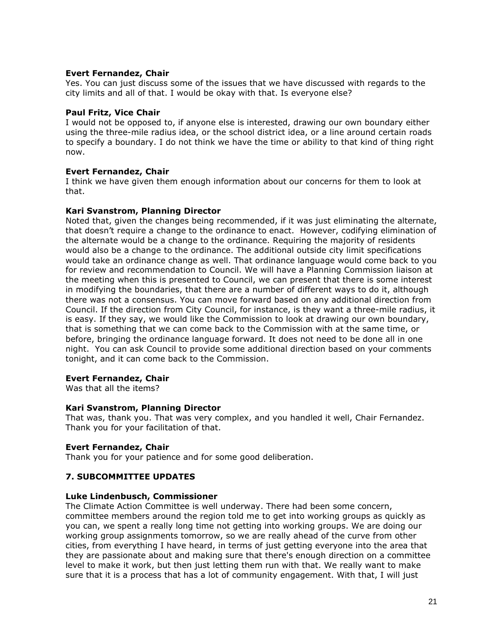## **Evert Fernandez, Chair**

Yes. You can just discuss some of the issues that we have discussed with regards to the city limits and all of that. I would be okay with that. Is everyone else?

### **Paul Fritz, Vice Chair**

I would not be opposed to, if anyone else is interested, drawing our own boundary either using the three-mile radius idea, or the school district idea, or a line around certain roads to specify a boundary. I do not think we have the time or ability to that kind of thing right now.

## **Evert Fernandez, Chair**

I think we have given them enough information about our concerns for them to look at that.

### **Kari Svanstrom, Planning Director**

Noted that, given the changes being recommended, if it was just eliminating the alternate, that doesn't require a change to the ordinance to enact. However, codifying elimination of the alternate would be a change to the ordinance. Requiring the majority of residents would also be a change to the ordinance. The additional outside city limit specifications would take an ordinance change as well. That ordinance language would come back to you for review and recommendation to Council. We will have a Planning Commission liaison at the meeting when this is presented to Council, we can present that there is some interest in modifying the boundaries, that there are a number of different ways to do it, although there was not a consensus. You can move forward based on any additional direction from Council. If the direction from City Council, for instance, is they want a three-mile radius, it is easy. If they say, we would like the Commission to look at drawing our own boundary, that is something that we can come back to the Commission with at the same time, or before, bringing the ordinance language forward. It does not need to be done all in one night. You can ask Council to provide some additional direction based on your comments tonight, and it can come back to the Commission.

## **Evert Fernandez, Chair**

Was that all the items?

### **Kari Svanstrom, Planning Director**

That was, thank you. That was very complex, and you handled it well, Chair Fernandez. Thank you for your facilitation of that.

#### **Evert Fernandez, Chair**

Thank you for your patience and for some good deliberation.

## **7. SUBCOMMITTEE UPDATES**

#### **Luke Lindenbusch, Commissioner**

The Climate Action Committee is well underway. There had been some concern, committee members around the region told me to get into working groups as quickly as you can, we spent a really long time not getting into working groups. We are doing our working group assignments tomorrow, so we are really ahead of the curve from other cities, from everything I have heard, in terms of just getting everyone into the area that they are passionate about and making sure that there's enough direction on a committee level to make it work, but then just letting them run with that. We really want to make sure that it is a process that has a lot of community engagement. With that, I will just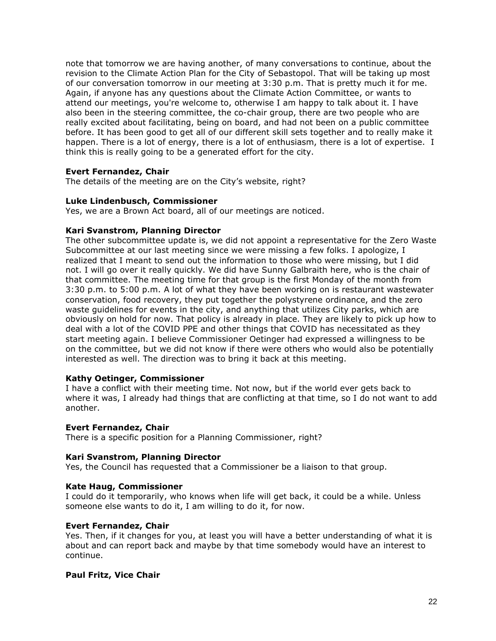note that tomorrow we are having another, of many conversations to continue, about the revision to the Climate Action Plan for the City of Sebastopol. That will be taking up most of our conversation tomorrow in our meeting at 3:30 p.m. That is pretty much it for me. Again, if anyone has any questions about the Climate Action Committee, or wants to attend our meetings, you're welcome to, otherwise I am happy to talk about it. I have also been in the steering committee, the co-chair group, there are two people who are really excited about facilitating, being on board, and had not been on a public committee before. It has been good to get all of our different skill sets together and to really make it happen. There is a lot of energy, there is a lot of enthusiasm, there is a lot of expertise. I think this is really going to be a generated effort for the city.

# **Evert Fernandez, Chair**

The details of the meeting are on the City's website, right?

### **Luke Lindenbusch, Commissioner**

Yes, we are a Brown Act board, all of our meetings are noticed.

### **Kari Svanstrom, Planning Director**

The other subcommittee update is, we did not appoint a representative for the Zero Waste Subcommittee at our last meeting since we were missing a few folks. I apologize, I realized that I meant to send out the information to those who were missing, but I did not. I will go over it really quickly. We did have Sunny Galbraith here, who is the chair of that committee. The meeting time for that group is the first Monday of the month from 3:30 p.m. to 5:00 p.m. A lot of what they have been working on is restaurant wastewater conservation, food recovery, they put together the polystyrene ordinance, and the zero waste guidelines for events in the city, and anything that utilizes City parks, which are obviously on hold for now. That policy is already in place. They are likely to pick up how to deal with a lot of the COVID PPE and other things that COVID has necessitated as they start meeting again. I believe Commissioner Oetinger had expressed a willingness to be on the committee, but we did not know if there were others who would also be potentially interested as well. The direction was to bring it back at this meeting.

#### **Kathy Oetinger, Commissioner**

I have a conflict with their meeting time. Not now, but if the world ever gets back to where it was, I already had things that are conflicting at that time, so I do not want to add another.

#### **Evert Fernandez, Chair**

There is a specific position for a Planning Commissioner, right?

## **Kari Svanstrom, Planning Director**

Yes, the Council has requested that a Commissioner be a liaison to that group.

## **Kate Haug, Commissioner**

I could do it temporarily, who knows when life will get back, it could be a while. Unless someone else wants to do it, I am willing to do it, for now.

## **Evert Fernandez, Chair**

Yes. Then, if it changes for you, at least you will have a better understanding of what it is about and can report back and maybe by that time somebody would have an interest to continue.

## **Paul Fritz, Vice Chair**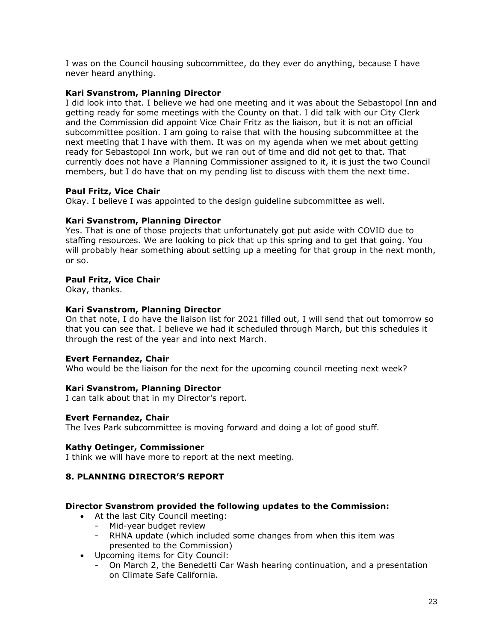I was on the Council housing subcommittee, do they ever do anything, because I have never heard anything.

# **Kari Svanstrom, Planning Director**

I did look into that. I believe we had one meeting and it was about the Sebastopol Inn and getting ready for some meetings with the County on that. I did talk with our City Clerk and the Commission did appoint Vice Chair Fritz as the liaison, but it is not an official subcommittee position. I am going to raise that with the housing subcommittee at the next meeting that I have with them. It was on my agenda when we met about getting ready for Sebastopol Inn work, but we ran out of time and did not get to that. That currently does not have a Planning Commissioner assigned to it, it is just the two Council members, but I do have that on my pending list to discuss with them the next time.

# **Paul Fritz, Vice Chair**

Okay. I believe I was appointed to the design guideline subcommittee as well.

# **Kari Svanstrom, Planning Director**

Yes. That is one of those projects that unfortunately got put aside with COVID due to staffing resources. We are looking to pick that up this spring and to get that going. You will probably hear something about setting up a meeting for that group in the next month, or so.

# **Paul Fritz, Vice Chair**

Okay, thanks.

# **Kari Svanstrom, Planning Director**

On that note, I do have the liaison list for 2021 filled out, I will send that out tomorrow so that you can see that. I believe we had it scheduled through March, but this schedules it through the rest of the year and into next March.

## **Evert Fernandez, Chair**

Who would be the liaison for the next for the upcoming council meeting next week?

## **Kari Svanstrom, Planning Director**

I can talk about that in my Director's report.

## **Evert Fernandez, Chair**

The Ives Park subcommittee is moving forward and doing a lot of good stuff.

## **Kathy Oetinger, Commissioner**

I think we will have more to report at the next meeting.

# **8. PLANNING DIRECTOR'S REPORT**

## **Director Svanstrom provided the following updates to the Commission:**

- At the last City Council meeting:
	- Mid-year budget review
	- RHNA update (which included some changes from when this item was presented to the Commission)
- Upcoming items for City Council:
	- On March 2, the Benedetti Car Wash hearing continuation, and a presentation on Climate Safe California.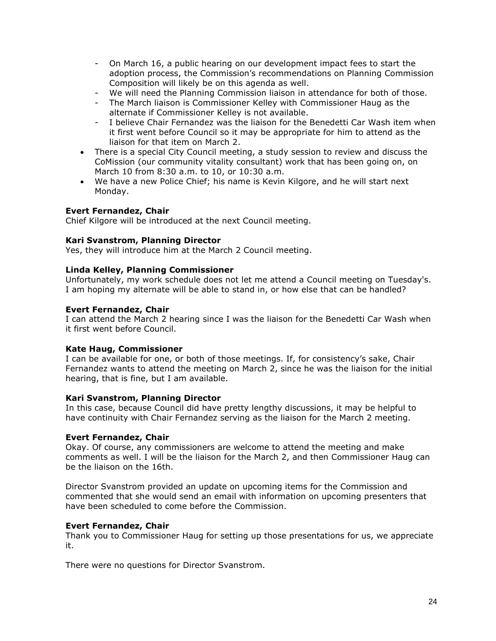- On March 16, a public hearing on our development impact fees to start the adoption process, the Commission's recommendations on Planning Commission Composition will likely be on this agenda as well.
- We will need the Planning Commission liaison in attendance for both of those.
- The March liaison is Commissioner Kelley with Commissioner Haug as the alternate if Commissioner Kelley is not available.
- I believe Chair Fernandez was the liaison for the Benedetti Car Wash item when it first went before Council so it may be appropriate for him to attend as the liaison for that item on March 2.
- There is a special City Council meeting, a study session to review and discuss the CoMission (our community vitality consultant) work that has been going on, on March 10 from 8:30 a.m. to 10, or 10:30 a.m.
- We have a new Police Chief; his name is Kevin Kilgore, and he will start next Monday.

# **Evert Fernandez, Chair**

Chief Kilgore will be introduced at the next Council meeting.

## **Kari Svanstrom, Planning Director**

Yes, they will introduce him at the March 2 Council meeting.

### **Linda Kelley, Planning Commissioner**

Unfortunately, my work schedule does not let me attend a Council meeting on Tuesday's. I am hoping my alternate will be able to stand in, or how else that can be handled?

### **Evert Fernandez, Chair**

I can attend the March 2 hearing since I was the liaison for the Benedetti Car Wash when it first went before Council.

#### **Kate Haug, Commissioner**

I can be available for one, or both of those meetings. If, for consistency's sake, Chair Fernandez wants to attend the meeting on March 2, since he was the liaison for the initial hearing, that is fine, but I am available.

#### **Kari Svanstrom, Planning Director**

In this case, because Council did have pretty lengthy discussions, it may be helpful to have continuity with Chair Fernandez serving as the liaison for the March 2 meeting.

## **Evert Fernandez, Chair**

Okay. Of course, any commissioners are welcome to attend the meeting and make comments as well. I will be the liaison for the March 2, and then Commissioner Haug can be the liaison on the 16th.

Director Svanstrom provided an update on upcoming items for the Commission and commented that she would send an email with information on upcoming presenters that have been scheduled to come before the Commission.

## **Evert Fernandez, Chair**

Thank you to Commissioner Haug for setting up those presentations for us, we appreciate it.

There were no questions for Director Svanstrom.